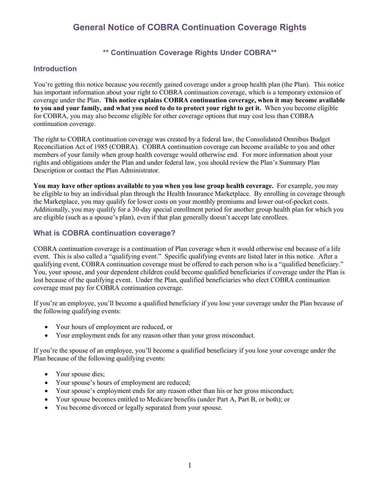# **General Notice of COBRA Continuation Coverage Rights**

#### **\*\* Continuation Coverage Rights Under COBRA\*\***

#### **Introduction**

You're getting this notice because you recently gained coverage under a group health plan (the Plan). This notice has important information about your right to COBRA continuation coverage, which is a temporary extension of coverage under the Plan. **This notice explains COBRA continuation coverage, when it may become available to you and your family, and what you need to do to protect your right to get it.** When you become eligible for COBRA, you may also become eligible for other coverage options that may cost less than COBRA continuation coverage.

The right to COBRA continuation coverage was created by a federal law, the Consolidated Omnibus Budget Reconciliation Act of 1985 (COBRA). COBRA continuation coverage can become available to you and other members of your family when group health coverage would otherwise end. For more information about your rights and obligations under the Plan and under federal law, you should review the Plan's Summary Plan Description or contact the Plan Administrator.

**You may have other options available to you when you lose group health coverage.** For example, you may be eligible to buy an individual plan through the Health Insurance Marketplace. By enrolling in coverage through the Marketplace, you may qualify for lower costs on your monthly premiums and lower out-of-pocket costs. Additionally, you may qualify for a 30-day special enrollment period for another group health plan for which you are eligible (such as a spouse's plan), even if that plan generally doesn't accept late enrollees.

#### **What is COBRA continuation coverage?**

COBRA continuation coverage is a continuation of Plan coverage when it would otherwise end because of a life event. This is also called a "qualifying event." Specific qualifying events are listed later in this notice. After a qualifying event, COBRA continuation coverage must be offered to each person who is a "qualified beneficiary." You, your spouse, and your dependent children could become qualified beneficiaries if coverage under the Plan is lost because of the qualifying event. Under the Plan, qualified beneficiaries who elect COBRA continuation coverage must pay for COBRA continuation coverage.

If you're an employee, you'll become a qualified beneficiary if you lose your coverage under the Plan because of the following qualifying events:

- Your hours of employment are reduced, or
- Your employment ends for any reason other than your gross misconduct.

If you're the spouse of an employee, you'll become a qualified beneficiary if you lose your coverage under the Plan because of the following qualifying events:

- Your spouse dies;
- Your spouse's hours of employment are reduced;
- Your spouse's employment ends for any reason other than his or her gross misconduct;
- Your spouse becomes entitled to Medicare benefits (under Part A, Part B, or both); or
- You become divorced or legally separated from your spouse.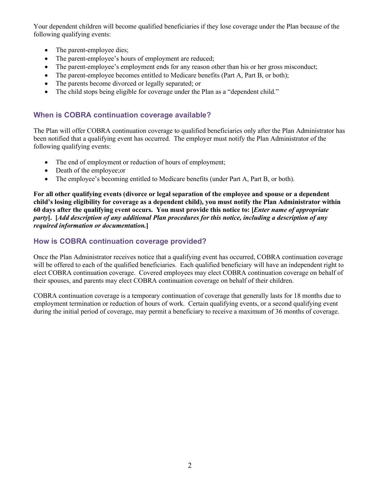Your dependent children will become qualified beneficiaries if they lose coverage under the Plan because of the following qualifying events:

- The parent-employee dies;
- The parent-employee's hours of employment are reduced;
- The parent-employee's employment ends for any reason other than his or her gross misconduct;
- The parent-employee becomes entitled to Medicare benefits (Part A, Part B, or both);
- The parents become divorced or legally separated; or
- The child stops being eligible for coverage under the Plan as a "dependent child."

### **When is COBRA continuation coverage available?**

The Plan will offer COBRA continuation coverage to qualified beneficiaries only after the Plan Administrator has been notified that a qualifying event has occurred. The employer must notify the Plan Administrator of the following qualifying events:

- The end of employment or reduction of hours of employment;
- Death of the employee; or
- The employee's becoming entitled to Medicare benefits (under Part A, Part B, or both).

**For all other qualifying events (divorce or legal separation of the employee and spouse or a dependent child's losing eligibility for coverage as a dependent child), you must notify the Plan Administrator within 60 days after the qualifying event occurs. You must provide this notice to: [***Enter name of appropriate party***].****[***Add description of any additional Plan procedures for this notice, including a description of any required information or documentation.***]**

## **How is COBRA continuation coverage provided?**

Once the Plan Administrator receives notice that a qualifying event has occurred, COBRA continuation coverage will be offered to each of the qualified beneficiaries. Each qualified beneficiary will have an independent right to elect COBRA continuation coverage. Covered employees may elect COBRA continuation coverage on behalf of their spouses, and parents may elect COBRA continuation coverage on behalf of their children.

COBRA continuation coverage is a temporary continuation of coverage that generally lasts for 18 months due to employment termination or reduction of hours of work. Certain qualifying events, or a second qualifying event during the initial period of coverage, may permit a beneficiary to receive a maximum of 36 months of coverage.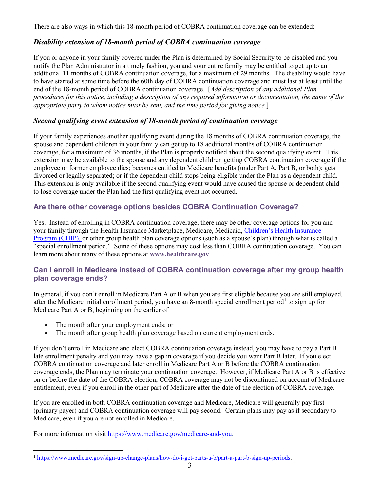There are also ways in which this 18-month period of COBRA continuation coverage can be extended:

### *Disability extension of 18-month period of COBRA continuation coverage*

If you or anyone in your family covered under the Plan is determined by Social Security to be disabled and you notify the Plan Administrator in a timely fashion, you and your entire family may be entitled to get up to an additional 11 months of COBRA continuation coverage, for a maximum of 29 months. The disability would have to have started at some time before the 60th day of COBRA continuation coverage and must last at least until the end of the 18-month period of COBRA continuation coverage. [*Add description of any additional Plan procedures for this notice, including a description of any required information or documentation, the name of the appropriate party to whom notice must be sent, and the time period for giving notice.*]

## *Second qualifying event extension of 18-month period of continuation coverage*

If your family experiences another qualifying event during the 18 months of COBRA continuation coverage, the spouse and dependent children in your family can get up to 18 additional months of COBRA continuation coverage, for a maximum of 36 months, if the Plan is properly notified about the second qualifying event. This extension may be available to the spouse and any dependent children getting COBRA continuation coverage if the employee or former employee dies; becomes entitled to Medicare benefits (under Part A, Part B, or both); gets divorced or legally separated; or if the dependent child stops being eligible under the Plan as a dependent child. This extension is only available if the second qualifying event would have caused the spouse or dependent child to lose coverage under the Plan had the first qualifying event not occurred.

## **Are there other coverage options besides COBRA Continuation Coverage?**

Yes. Instead of enrolling in COBRA continuation coverage, there may be other coverage options for you and your family through the Health Insurance Marketplace, Medicare, Medicaid[, Children's Health Insurance](https://www.healthcare.gov/are-my-children-eligible-for-chip)  [Program \(CHIP\),](https://www.healthcare.gov/are-my-children-eligible-for-chip) or other group health plan coverage options (such as a spouse's plan) through what is called a "special enrollment period." Some of these options may cost less than COBRA continuation coverage. You can learn more about many of these options at **[www.healthcare.gov](https://www.dol.gov/ebsa/www.healthcare.gov)**.

## **Can I enroll in Medicare instead of COBRA continuation coverage after my group health plan coverage ends?**

In general, if you don't enroll in Medicare Part A or B when you are first eligible because you are still employed, after the Medicare initial enrollment period, you have an 8-month special enrollment period<sup>[1](#page-2-0)</sup> to sign up for Medicare Part A or B, beginning on the earlier of

- The month after your employment ends; or
- The month after group health plan coverage based on current employment ends.

If you don't enroll in Medicare and elect COBRA continuation coverage instead, you may have to pay a Part B late enrollment penalty and you may have a gap in coverage if you decide you want Part B later. If you elect COBRA continuation coverage and later enroll in Medicare Part A or B before the COBRA continuation coverage ends, the Plan may terminate your continuation coverage. However, if Medicare Part A or B is effective on or before the date of the COBRA election, COBRA coverage may not be discontinued on account of Medicare entitlement, even if you enroll in the other part of Medicare after the date of the election of COBRA coverage.

If you are enrolled in both COBRA continuation coverage and Medicare, Medicare will generally pay first (primary payer) and COBRA continuation coverage will pay second. Certain plans may pay as if secondary to Medicare, even if you are not enrolled in Medicare.

For more information visit [https://www.medicare.gov/medicare-and-you.](https://www.medicare.gov/medicare-and-you)

<span id="page-2-0"></span><sup>1</sup> [https://www.medicare.gov/sign-up-change-plans/how-do-i-get-parts-a-b/part-a-part-b-sign-up-periods.](https://www.medicare.gov/sign-up-change-plans/how-do-i-get-parts-a-b/part-a-part-b-sign-up-periods)